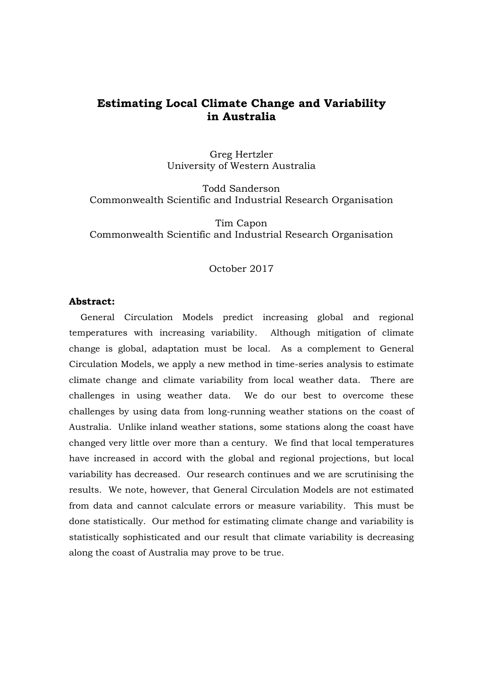# **Estimating Local Climate Change and Variability in Australia**

Greg Hertzler University of Western Australia

Todd Sanderson Commonwealth Scientific and Industrial Research Organisation

Tim Capon Commonwealth Scientific and Industrial Research Organisation

## October 2017

### **Abstract:**

General Circulation Models predict increasing global and regional temperatures with increasing variability. Although mitigation of climate change is global, adaptation must be local. As a complement to General Circulation Models, we apply a new method in time-series analysis to estimate climate change and climate variability from local weather data. There are challenges in using weather data. We do our best to overcome these challenges by using data from long-running weather stations on the coast of Australia. Unlike inland weather stations, some stations along the coast have changed very little over more than a century. We find that local temperatures have increased in accord with the global and regional projections, but local variability has decreased. Our research continues and we are scrutinising the results. We note, however, that General Circulation Models are not estimated from data and cannot calculate errors or measure variability. This must be done statistically. Our method for estimating climate change and variability is statistically sophisticated and our result that climate variability is decreasing along the coast of Australia may prove to be true.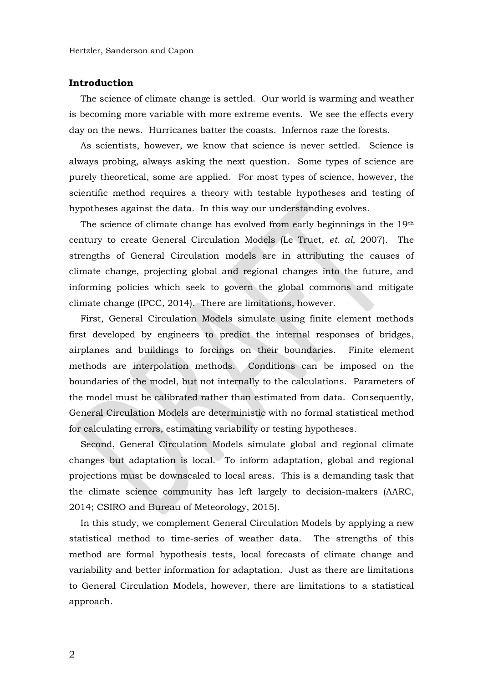#### **Introduction**

The science of climate change is settled. Our world is warming and weather is becoming more variable with more extreme events. We see the effects every day on the news. Hurricanes batter the coasts. Infernos raze the forests.

As scientists, however, we know that science is never settled. Science is always probing, always asking the next question. Some types of science are purely theoretical, some are applied. For most types of science, however, the scientific method requires a theory with testable hypotheses and testing of hypotheses against the data. In this way our understanding evolves.

The science of climate change has evolved from early beginnings in the  $19<sup>th</sup>$ century to create General Circulation Models (Le Truet, *et. al*, 2007). The strengths of General Circulation models are in attributing the causes of climate change, projecting global and regional changes into the future, and informing policies which seek to govern the global commons and mitigate climate change (IPCC, 2014). There are limitations, however.

First, General Circulation Models simulate using finite element methods first developed by engineers to predict the internal responses of bridges, airplanes and buildings to forcings on their boundaries. Finite element methods are interpolation methods. Conditions can be imposed on the boundaries of the model, but not internally to the calculations. Parameters of the model must be calibrated rather than estimated from data. Consequently, General Circulation Models are deterministic with no formal statistical method for calculating errors, estimating variability or testing hypotheses.

Second, General Circulation Models simulate global and regional climate changes but adaptation is local. To inform adaptation, global and regional projections must be downscaled to local areas. This is a demanding task that the climate science community has left largely to decision-makers (AARC, 2014; CSIRO and Bureau of Meteorology, 2015).

In this study, we complement General Circulation Models by applying a new statistical method to time-series of weather data. The strengths of this method are formal hypothesis tests, local forecasts of climate change and variability and better information for adaptation. Just as there are limitations to General Circulation Models, however, there are limitations to a statistical approach.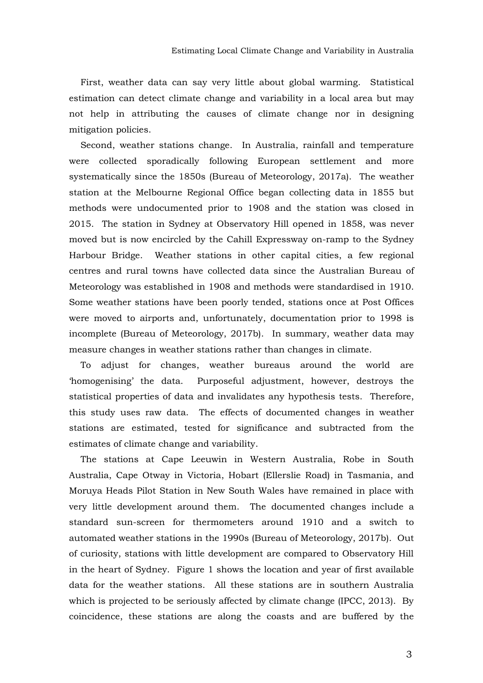First, weather data can say very little about global warming. Statistical estimation can detect climate change and variability in a local area but may not help in attributing the causes of climate change nor in designing mitigation policies.

Second, weather stations change. In Australia, rainfall and temperature were collected sporadically following European settlement and more systematically since the 1850s (Bureau of Meteorology, 2017a). The weather station at the Melbourne Regional Office began collecting data in 1855 but methods were undocumented prior to 1908 and the station was closed in 2015. The station in Sydney at Observatory Hill opened in 1858, was never moved but is now encircled by the Cahill Expressway on-ramp to the Sydney Harbour Bridge. Weather stations in other capital cities, a few regional centres and rural towns have collected data since the Australian Bureau of Meteorology was established in 1908 and methods were standardised in 1910. Some weather stations have been poorly tended, stations once at Post Offices were moved to airports and, unfortunately, documentation prior to 1998 is incomplete (Bureau of Meteorology, 2017b). In summary, weather data may measure changes in weather stations rather than changes in climate.

To adjust for changes, weather bureaus around the world are 'homogenising' the data. Purposeful adjustment, however, destroys the statistical properties of data and invalidates any hypothesis tests. Therefore, this study uses raw data. The effects of documented changes in weather stations are estimated, tested for significance and subtracted from the estimates of climate change and variability.

The stations at Cape Leeuwin in Western Australia, Robe in South Australia, Cape Otway in Victoria, Hobart (Ellerslie Road) in Tasmania, and Moruya Heads Pilot Station in New South Wales have remained in place with very little development around them. The documented changes include a standard sun-screen for thermometers around 1910 and a switch to automated weather stations in the 1990s (Bureau of Meteorology, 2017b). Out of curiosity, stations with little development are compared to Observatory Hill in the heart of Sydney. Figure 1 shows the location and year of first available data for the weather stations. All these stations are in southern Australia which is projected to be seriously affected by climate change (IPCC, 2013). By coincidence, these stations are along the coasts and are buffered by the

3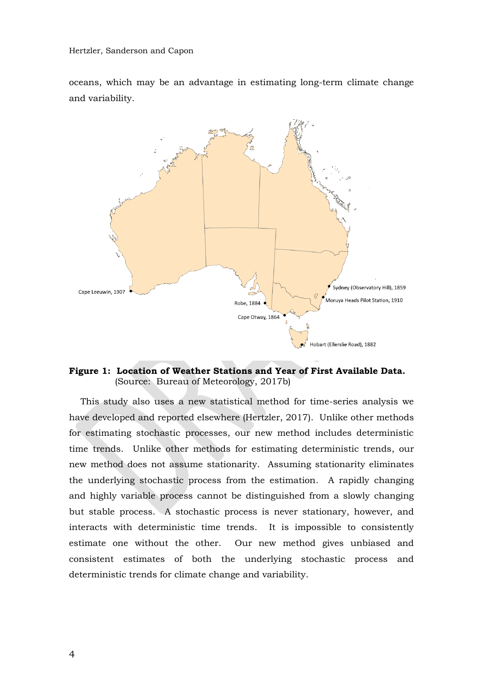oceans, which may be an advantage in estimating long-term climate change and variability.



**Figure 1: Location of Weather Stations and Year of First Available Data.**  (Source: Bureau of Meteorology, 2017b)

This study also uses a new statistical method for time-series analysis we have developed and reported elsewhere (Hertzler, 2017). Unlike other methods for estimating stochastic processes, our new method includes deterministic time trends. Unlike other methods for estimating deterministic trends, our new method does not assume stationarity. Assuming stationarity eliminates the underlying stochastic process from the estimation. A rapidly changing and highly variable process cannot be distinguished from a slowly changing but stable process. A stochastic process is never stationary, however, and interacts with deterministic time trends. It is impossible to consistently estimate one without the other. Our new method gives unbiased and consistent estimates of both the underlying stochastic process and deterministic trends for climate change and variability.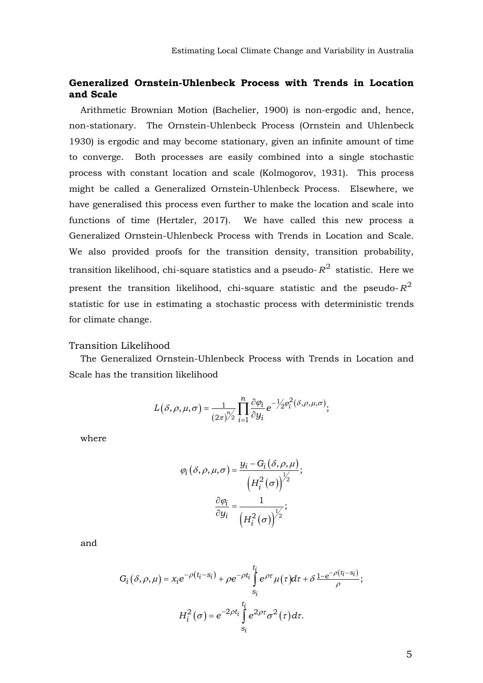### **Generalized Ornstein-Uhlenbeck Process with Trends in Location and Scale**

Arithmetic Brownian Motion (Bachelier, 1900) is non-ergodic and, hence, non-stationary. The Ornstein-Uhlenbeck Process (Ornstein and Uhlenbeck 1930) is ergodic and may become stationary, given an infinite amount of time to converge. Both processes are easily combined into a single stochastic process with constant location and scale (Kolmogorov, 1931). This process might be called a Generalized Ornstein-Uhlenbeck Process. Elsewhere, we have generalised this process even further to make the location and scale into functions of time (Hertzler, 2017). We have called this new process a Generalized Ornstein-Uhlenbeck Process with Trends in Location and Scale. We also provided proofs for the transition density, transition probability, transition likelihood, chi-square statistics and a pseudo- $R^2$  statistic. Here we present the transition likelihood, chi-square statistic and the pseudo- $R^2$ statistic for use in estimating a stochastic process with deterministic trends for climate change.

### Transition Likelihood

The Generalized Ornstein-Uhlenbeck Process with Trends in Location and Scale has the transition likelihood

$$
L(\delta,\rho,\mu,\sigma) = \frac{1}{(2\pi)^{n/2}} \prod_{i=1}^{n} \frac{\partial \varphi_i}{\partial y_i} e^{-\frac{1}{2} \varphi_i^2(\delta,\rho,\mu,\sigma)},
$$

where

$$
\varphi_i(\delta, \rho, \mu, \sigma) = \frac{y_i - G_i(\delta, \rho, \mu)}{\left(H_i^2(\sigma)\right)^{\frac{1}{2}}};
$$

$$
\frac{\partial \varphi_i}{\partial y_i} = \frac{1}{\left(H_i^2(\sigma)\right)^{\frac{1}{2}}};
$$

and

$$
G_i(\delta, \rho, \mu) = x_i e^{-\rho(t_i - s_i)} + \rho e^{-\rho t_i} \int_{s_i}^{t_i} e^{\rho \tau} \mu(\tau) d\tau + \delta \frac{1 - e^{-\rho(t_i - s_i)}}{\rho};
$$

$$
H_i^2(\sigma) = e^{-2\rho t_i} \int_{s_i}^{t_i} e^{2\rho \tau} \sigma^2(\tau) d\tau.
$$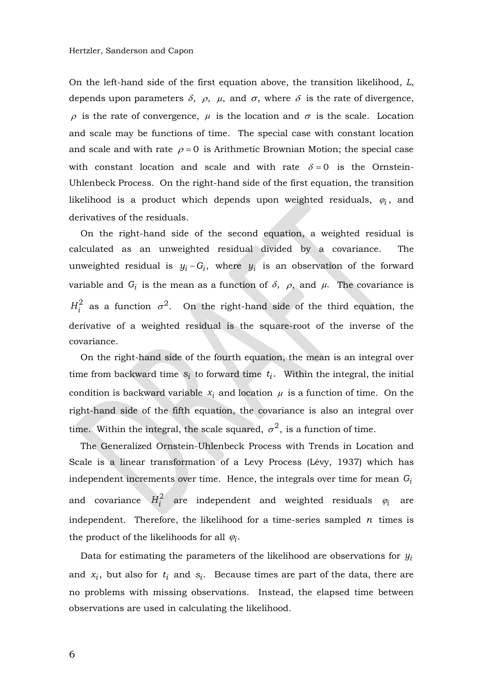On the left-hand side of the first equation above, the transition likelihood, *L*, depends upon parameters  $\delta$ ,  $\rho$ ,  $\mu$ , and  $\sigma$ , where  $\delta$  is the rate of divergence,  $\rho$  is the rate of convergence,  $\mu$  is the location and  $\sigma$  is the scale. Location and scale may be functions of time. The special case with constant location and scale and with rate  $\rho = 0$  is Arithmetic Brownian Motion; the special case with constant location and scale and with rate  $\delta = 0$  is the Ornstein-Uhlenbeck Process. On the right-hand side of the first equation, the transition likelihood is a product which depends upon weighted residuals,  $\varphi_i$ , and derivatives of the residuals.

On the right-hand side of the second equation, a weighted residual is calculated as an unweighted residual divided by a covariance. The unweighted residual is  $y_i - G_i$ , where  $y_i$  is an observation of the forward variable and  $G_i$  is the mean as a function of  $\delta$ ,  $\rho$ , and  $\mu$ . The covariance is  $H_i^2$  as a function  $\sigma^2$ . On the right-hand side of the third equation, the derivative of a weighted residual is the square-root of the inverse of the covariance.

On the right-hand side of the fourth equation, the mean is an integral over time from backward time  $s_i$  to forward time  $t_i$ . Within the integral, the initial condition is backward variable  $x_i$  and location  $\mu$  is a function of time. On the right-hand side of the fifth equation, the covariance is also an integral over time. Within the integral, the scale squared,  $\sigma^2$ , is a function of time.

The Generalized Ornstein-Uhlenbeck Process with Trends in Location and Scale is a linear transformation of a Levy Process (Lévy, 1937) which has independent increments over time. Hence, the integrals over time for mean *Gi* and covariance  $H_i^2$  are independent and weighted residuals  $\varphi_i$ are independent. Therefore, the likelihood for a time-series sampled  $n$  times is the product of the likelihoods for all  $\varphi_i$ .

Data for estimating the parameters of the likelihood are observations for *yi* and  $x_i$ , but also for  $t_i$  and  $s_i$ . Because times are part of the data, there are no problems with missing observations. Instead, the elapsed time between observations are used in calculating the likelihood.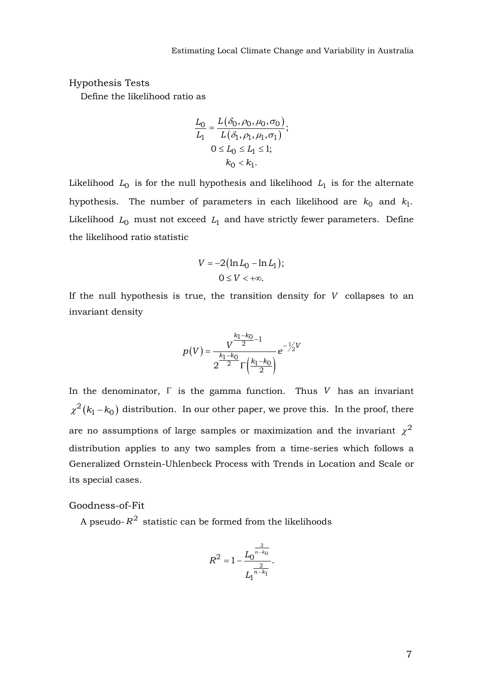### Hypothesis Tests

Define the likelihood ratio as

$$
\frac{L_0}{L_1} = \frac{L(\delta_0, \rho_0, \mu_0, \sigma_0)}{L(\delta_1, \rho_1, \mu_1, \sigma_1)};
$$
  

$$
0 \le L_0 \le L_1 \le 1;
$$
  

$$
k_0 < k_1.
$$

Likelihood  $L_0$  is for the null hypothesis and likelihood  $L_1$  is for the alternate hypothesis. The number of parameters in each likelihood are  $k_0$  and  $k_1$ . Likelihood  $L_0$  must not exceed  $L_1$  and have strictly fewer parameters. Define the likelihood ratio statistic

$$
V = -2\big(\ln L_0 - \ln L_1\big);
$$
  
 
$$
0 \le V < +\infty.
$$

If the null hypothesis is true, the transition density for *V* collapses to an invariant density

$$
p(V) = \frac{V^{\frac{k_1 - k_0}{2} - 1}}{2^{\frac{k_1 - k_0}{2}} \Gamma(\frac{k_1 - k_0}{2})} e^{-\frac{1}{2}V}
$$

In the denominator,  $\Gamma$  is the gamma function. Thus  $V$  has an invariant  $\chi^2(k_1 - k_0)$  distribution. In our other paper, we prove this. In the proof, there are no assumptions of large samples or maximization and the invariant  $\chi^2$ distribution applies to any two samples from a time-series which follows a Generalized Ornstein-Uhlenbeck Process with Trends in Location and Scale or its special cases.

### Goodness-of-Fit

A pseudo- $R^2$  statistic can be formed from the likelihoods

$$
R^2 = 1 - \frac{L_0^{\frac{2}{n-k_0}}}{L_1^{\frac{2}{n-k_1}}}.
$$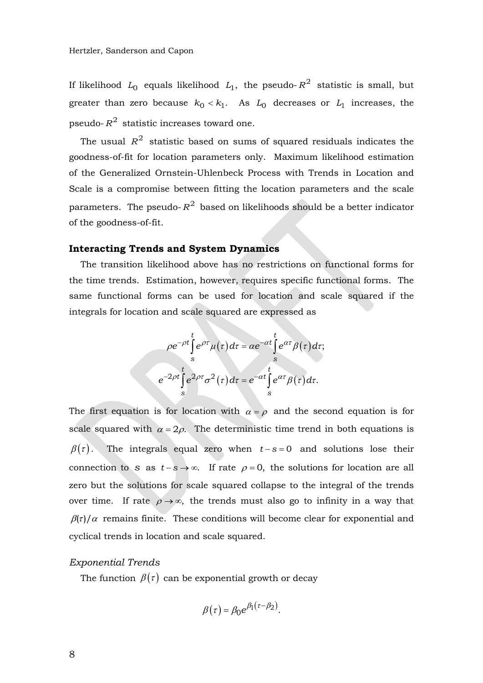If likelihood  $L_0$  equals likelihood  $L_1$ , the pseudo- $R^2$  statistic is small, but greater than zero because  $k_0 < k_1$ . As  $L_0$  decreases or  $L_1$  increases, the pseudo- $R^2$  statistic increases toward one.

The usual  $R^2$  statistic based on sums of squared residuals indicates the goodness-of-fit for location parameters only. Maximum likelihood estimation of the Generalized Ornstein-Uhlenbeck Process with Trends in Location and Scale is a compromise between fitting the location parameters and the scale parameters. The pseudo- $R^2$  based on likelihoods should be a better indicator of the goodness-of-fit.

### **Interacting Trends and System Dynamics**

The transition likelihood above has no restrictions on functional forms for the time trends. Estimation, however, requires specific functional forms. The same functional forms can be used for location and scale squared if the integrals for location and scale squared are expressed as

$$
\rho e^{-\rho t} \int_{s}^{t} e^{\rho \tau} \mu(\tau) d\tau = \alpha e^{-\alpha t} \int_{s}^{t} e^{\alpha \tau} \beta(\tau) d\tau;
$$

$$
e^{-2\rho t} \int_{s}^{t} e^{2\rho \tau} \sigma^{2}(\tau) d\tau = e^{-\alpha t} \int_{s}^{t} e^{\alpha \tau} \beta(\tau) d\tau.
$$

The first equation is for location with  $\alpha = \rho$  and the second equation is for scale squared with  $\alpha = 2\rho$ . The deterministic time trend in both equations is  $\beta(\tau)$ . The integrals equal zero when  $t-s=0$  and solutions lose their connection to s as  $t-s \to \infty$ . If rate  $\rho = 0$ , the solutions for location are all zero but the solutions for scale squared collapse to the integral of the trends over time. If rate  $\rho \rightarrow \infty$ , the trends must also go to infinity in a way that  $\beta(\tau)/\alpha$  remains finite. These conditions will become clear for exponential and cyclical trends in location and scale squared.

### *Exponential Trends*

The function  $\beta(\tau)$  can be exponential growth or decay

$$
\beta(\tau) = \beta_0 e^{\beta_1(\tau - \beta_2)}.
$$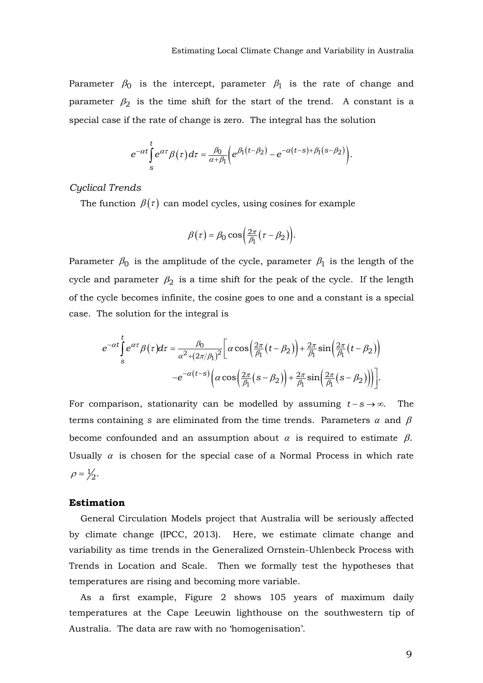Parameter  $\beta_0$  is the intercept, parameter  $\beta_1$  is the rate of change and parameter  $\beta_2$  is the time shift for the start of the trend. A constant is a special case if the rate of change is zero. The integral has the solution

$$
e^{-\alpha t} \int_{s}^{t} e^{\alpha \tau} \beta(\tau) d\tau = \frac{\beta_0}{\alpha + \beta_1} \Big( e^{\beta_1(t-\beta_2)} - e^{-\alpha(t-s) + \beta_1(s-\beta_2)} \Big).
$$

*Cyclical Trends*

The function  $\beta(\tau)$  can model cycles, using cosines for example

$$
\beta(\tau) = \beta_0 \cos\left(\frac{2\pi}{\beta_1}(\tau - \beta_2)\right).
$$

Parameter  $\beta_0$  is the amplitude of the cycle, parameter  $\beta_1$  is the length of the cycle and parameter  $\beta_2$  is a time shift for the peak of the cycle. If the length of the cycle becomes infinite, the cosine goes to one and a constant is a special case. The solution for the integral is

$$
e^{-\alpha t} \int_{s}^{t} e^{\alpha \tau} \beta(\tau) d\tau = \frac{\beta_0}{\alpha^2 + (2\pi/\beta_1)^2} \Big[ \alpha \cos\left(\frac{2\pi}{\beta_1}(t-\beta_2)\right) + \frac{2\pi}{\beta_1} \sin\left(\frac{2\pi}{\beta_1}(t-\beta_2)\right) -e^{-\alpha(t-s)} \Big( \alpha \cos\left(\frac{2\pi}{\beta_1}(s-\beta_2)\right) + \frac{2\pi}{\beta_1} \sin\left(\frac{2\pi}{\beta_1}(s-\beta_2)\right) \Big].
$$

For comparison, stationarity can be modelled by assuming  $t-s \rightarrow \infty$ . The terms containing s are eliminated from the time trends. Parameters  $\alpha$  and  $\beta$ become confounded and an assumption about  $\alpha$  is required to estimate  $\beta$ . Usually  $\alpha$  is chosen for the special case of a Normal Process in which rate  $\rho = \frac{1}{2}$ .

### **Estimation**

General Circulation Models project that Australia will be seriously affected by climate change (IPCC, 2013). Here, we estimate climate change and variability as time trends in the Generalized Ornstein-Uhlenbeck Process with Trends in Location and Scale. Then we formally test the hypotheses that temperatures are rising and becoming more variable.

As a first example, Figure 2 shows 105 years of maximum daily temperatures at the Cape Leeuwin lighthouse on the southwestern tip of Australia. The data are raw with no 'homogenisation'.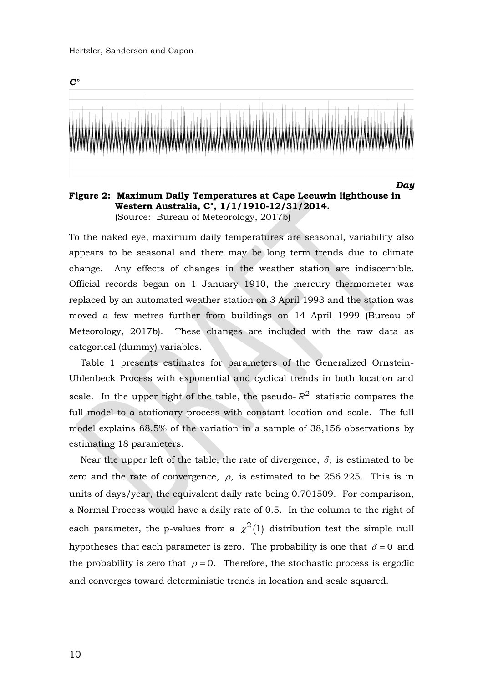#### Hertzler, Sanderson and Capon



**Figure 2: Maximum Daily Temperatures at Cape Leeuwin lighthouse in Western Australia, C°, 1/1/1910-12/31/2014.**  (Source: Bureau of Meteorology, 2017b)

To the naked eye, maximum daily temperatures are seasonal, variability also appears to be seasonal and there may be long term trends due to climate change. Any effects of changes in the weather station are indiscernible. Official records began on 1 January 1910, the mercury thermometer was replaced by an automated weather station on 3 April 1993 and the station was moved a few metres further from buildings on 14 April 1999 (Bureau of Meteorology, 2017b). These changes are included with the raw data as categorical (dummy) variables.

Table 1 presents estimates for parameters of the Generalized Ornstein-Uhlenbeck Process with exponential and cyclical trends in both location and scale. In the upper right of the table, the pseudo- $R^2$  statistic compares the full model to a stationary process with constant location and scale. The full model explains 68.5% of the variation in a sample of 38,156 observations by estimating 18 parameters.

Near the upper left of the table, the rate of divergence,  $\delta$ , is estimated to be zero and the rate of convergence,  $\rho$ , is estimated to be 256.225. This is in units of days/year, the equivalent daily rate being 0.701509. For comparison, a Normal Process would have a daily rate of 0.5. In the column to the right of each parameter, the p-values from a  $\chi^2(1)$  distribution test the simple null hypotheses that each parameter is zero. The probability is one that  $\delta = 0$  and the probability is zero that  $\rho = 0$ . Therefore, the stochastic process is ergodic and converges toward deterministic trends in location and scale squared.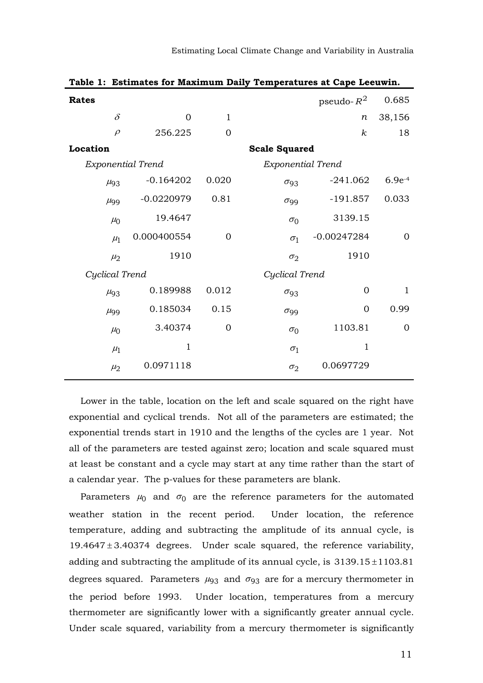| Table 1: Estimates for Maximum Daily Temperatures at Cape Leeuwin. |              |                |                        |               |                |  |  |  |  |
|--------------------------------------------------------------------|--------------|----------------|------------------------|---------------|----------------|--|--|--|--|
| <b>Rates</b>                                                       |              |                |                        | pseudo- $R^2$ | 0.685          |  |  |  |  |
| $\delta$                                                           | $\Omega$     | $\mathbf{1}$   |                        | п             | 38,156         |  |  |  |  |
| $\rho$                                                             | 256.225      | $\overline{0}$ |                        | $\kappa$      | 18             |  |  |  |  |
| Location                                                           |              |                | <b>Scale Squared</b>   |               |                |  |  |  |  |
| <b>Exponential Trend</b>                                           |              |                | Exponential Trend      |               |                |  |  |  |  |
| $\mu$ <sub>93</sub>                                                | $-0.164202$  | 0.020          | $\sigma_{93}$          | $-241.062$    | $6.9e^{-4}$    |  |  |  |  |
| $\mu$ <sub>99</sub>                                                | $-0.0220979$ | 0.81           | $\sigma$ <sub>99</sub> | $-191.857$    | 0.033          |  |  |  |  |
| $\mu_0$                                                            | 19.4647      |                | $\sigma_0$             | 3139.15       |                |  |  |  |  |
| $\mu_1$                                                            | 0.000400554  | $\overline{0}$ | $\sigma_1$             | $-0.00247284$ | $\Omega$       |  |  |  |  |
| $\mu_2$                                                            | 1910         |                | $\sigma_2$             | 1910          |                |  |  |  |  |
| Cyclical Trend                                                     |              |                | Cyclical Trend         |               |                |  |  |  |  |
| $\mu_{93}$                                                         | 0.189988     | 0.012          | $\sigma_{93}$          | 0             | 1              |  |  |  |  |
| $\mu$ <sub>99</sub>                                                | 0.185034     | 0.15           | $\sigma$ <sub>99</sub> | 0             | 0.99           |  |  |  |  |
| $\mu_0$                                                            | 3.40374      | $\overline{0}$ | $\sigma_0$             | 1103.81       | $\overline{0}$ |  |  |  |  |
| $\mu_1$                                                            | $\mathbf{1}$ |                | $\sigma_1$             | $\mathbf{1}$  |                |  |  |  |  |
| $\mu_2$                                                            | 0.0971118    |                | $\sigma_2$             | 0.0697729     |                |  |  |  |  |

Lower in the table, location on the left and scale squared on the right have exponential and cyclical trends. Not all of the parameters are estimated; the exponential trends start in 1910 and the lengths of the cycles are 1 year. Not all of the parameters are tested against zero; location and scale squared must at least be constant and a cycle may start at any time rather than the start of a calendar year. The p-values for these parameters are blank.

Parameters  $\mu_0$  and  $\sigma_0$  are the reference parameters for the automated weather station in the recent period. Under location, the reference temperature, adding and subtracting the amplitude of its annual cycle, is  $19.4647 \pm 3.40374$  degrees. Under scale squared, the reference variability, adding and subtracting the amplitude of its annual cycle, is  $3139.15 \pm 1103.81$ degrees squared. Parameters  $\mu_{93}$  and  $\sigma_{93}$  are for a mercury thermometer in the period before 1993. Under location, temperatures from a mercury thermometer are significantly lower with a significantly greater annual cycle. Under scale squared, variability from a mercury thermometer is significantly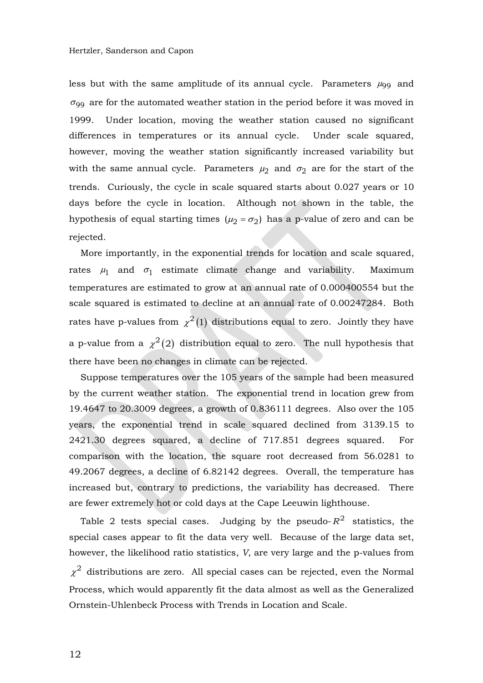less but with the same amplitude of its annual cycle. Parameters  $\mu_{99}$  and  $\sigma_{99}$  are for the automated weather station in the period before it was moved in 1999. Under location, moving the weather station caused no significant differences in temperatures or its annual cycle. Under scale squared, however, moving the weather station significantly increased variability but with the same annual cycle. Parameters  $\mu_2$  and  $\sigma_2$  are for the start of the trends. Curiously, the cycle in scale squared starts about 0.027 years or 10 days before the cycle in location. Although not shown in the table, the hypothesis of equal starting times  $(\mu_2 = \sigma_2)$  has a p-value of zero and can be rejected.

More importantly, in the exponential trends for location and scale squared, rates  $\mu_1$  and  $\sigma_1$  estimate climate change and variability. Maximum temperatures are estimated to grow at an annual rate of 0.000400554 but the scale squared is estimated to decline at an annual rate of 0.00247284. Both rates have p-values from  $\chi^2(1)$  distributions equal to zero. Jointly they have a p-value from a  $\chi^2(2)$  distribution equal to zero. The null hypothesis that there have been no changes in climate can be rejected.

Suppose temperatures over the 105 years of the sample had been measured by the current weather station. The exponential trend in location grew from 19.4647 to 20.3009 degrees, a growth of 0.836111 degrees. Also over the 105 years, the exponential trend in scale squared declined from 3139.15 to 2421.30 degrees squared, a decline of 717.851 degrees squared. For comparison with the location, the square root decreased from 56.0281 to 49.2067 degrees, a decline of 6.82142 degrees. Overall, the temperature has increased but, contrary to predictions, the variability has decreased. There are fewer extremely hot or cold days at the Cape Leeuwin lighthouse.

Table 2 tests special cases. Judging by the pseudo- $R^2$  statistics, the special cases appear to fit the data very well. Because of the large data set, however, the likelihood ratio statistics, *V*, are very large and the p-values from  $\chi^2$  distributions are zero. All special cases can be rejected, even the Normal Process, which would apparently fit the data almost as well as the Generalized Ornstein-Uhlenbeck Process with Trends in Location and Scale.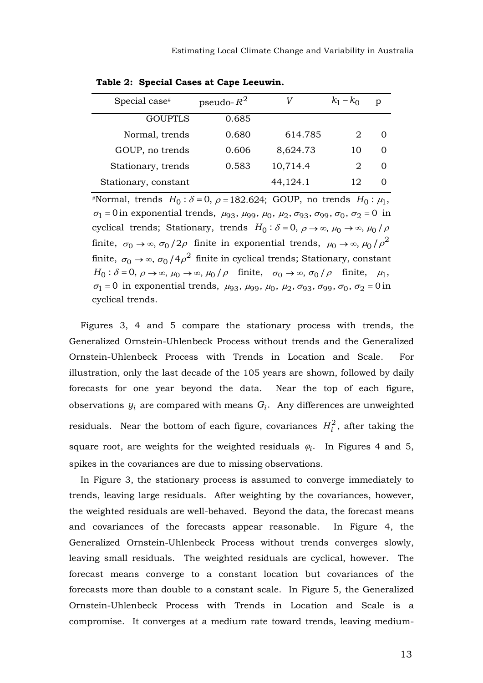| Special case <sup>#</sup> | pseudo- $R^2$ |          | $k_1 - k_0$ | $\mathfrak{v}$ |
|---------------------------|---------------|----------|-------------|----------------|
| <b>GOUPTLS</b>            | 0.685         |          |             |                |
| Normal, trends            | 0.680         | 614.785  |             |                |
| GOUP, no trends           | 0.606         | 8,624.73 | 10          |                |
| Stationary, trends        | 0.583         | 10,714.4 | 2           |                |
| Stationary, constant      |               | 44,124.1 | 12          |                |
|                           |               |          |             |                |

**Table 2: Special Cases at Cape Leeuwin.**

#Normal, trends  $H_0: \delta = 0, \, \rho = 182.624; \, \text{GOUP}, \, \text{no trends } H_0: \mu_1,$  $\sigma_1 = 0$  in exponential trends,  $\mu_{93}$ ,  $\mu_{99}$ ,  $\mu_0$ ,  $\mu_2$ ,  $\sigma_{93}$ ,  $\sigma_{99}$ ,  $\sigma_0$ ,  $\sigma_2 = 0$  in cyclical trends; Stationary, trends  $H_0: \delta = 0, \ \rho \to \infty, \ \mu_0 \to \infty, \ \mu_0 / \rho$ finite,  $\sigma_0 \rightarrow \infty$ ,  $\sigma_0$  /2 $\rho$  finite in exponential trends,  $\mu_0 \rightarrow \infty$ ,  $\mu_0$  /  $\rho^2$ finite,  $\sigma_0 \rightarrow \infty$ ,  $\sigma_0$  /4 $\rho^2$  finite in cyclical trends; Stationary, constant  $H_0: \delta = 0, \ \rho \to \infty, \ \mu_0 \to \infty, \ \mu_0 / \rho \quad \text{finite}, \quad \sigma_0 \to \infty, \ \sigma_0 / \rho \quad \text{finite}, \quad \mu_1,$  $\sigma_1 = 0$  in exponential trends,  $\mu_{93}$ ,  $\mu_{99}$ ,  $\mu_{0}$ ,  $\mu_{2}$ ,  $\sigma_{93}$ ,  $\sigma_{99}$ ,  $\sigma_{0}$ ,  $\sigma_{2} = 0$  in cyclical trends.

Figures 3, 4 and 5 compare the stationary process with trends, the Generalized Ornstein-Uhlenbeck Process without trends and the Generalized Ornstein-Uhlenbeck Process with Trends in Location and Scale. For illustration, only the last decade of the 105 years are shown, followed by daily forecasts for one year beyond the data. Near the top of each figure, observations  $y_i$  are compared with means  $G_i$ . Any differences are unweighted residuals. Near the bottom of each figure, covariances  $H_i^2$ , after taking the square root, are weights for the weighted residuals  $\varphi_i$ . In Figures 4 and 5, spikes in the covariances are due to missing observations.

In Figure 3, the stationary process is assumed to converge immediately to trends, leaving large residuals. After weighting by the covariances, however, the weighted residuals are well-behaved. Beyond the data, the forecast means and covariances of the forecasts appear reasonable. In Figure 4, the Generalized Ornstein-Uhlenbeck Process without trends converges slowly, leaving small residuals. The weighted residuals are cyclical, however. The forecast means converge to a constant location but covariances of the forecasts more than double to a constant scale. In Figure 5, the Generalized Ornstein-Uhlenbeck Process with Trends in Location and Scale is a compromise. It converges at a medium rate toward trends, leaving medium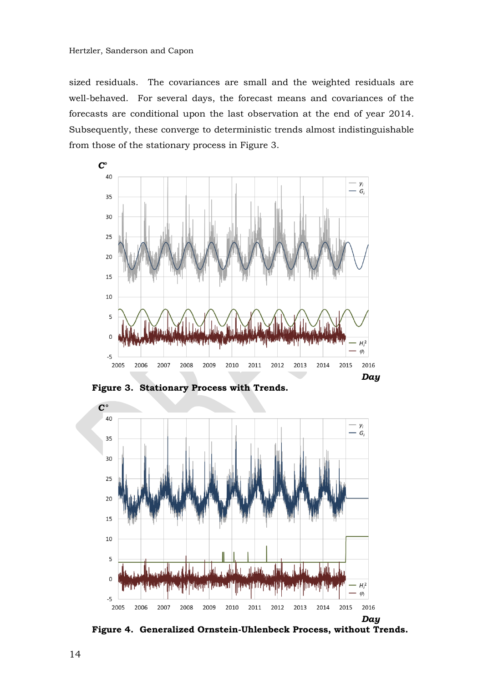sized residuals. The covariances are small and the weighted residuals are well-behaved. For several days, the forecast means and covariances of the forecasts are conditional upon the last observation at the end of year 2014. Subsequently, these converge to deterministic trends almost indistinguishable from those of the stationary process in Figure 3.



**Figure 3. Stationary Process with Trends.**



**Figure 4. Generalized Ornstein-Uhlenbeck Process, without Trends.**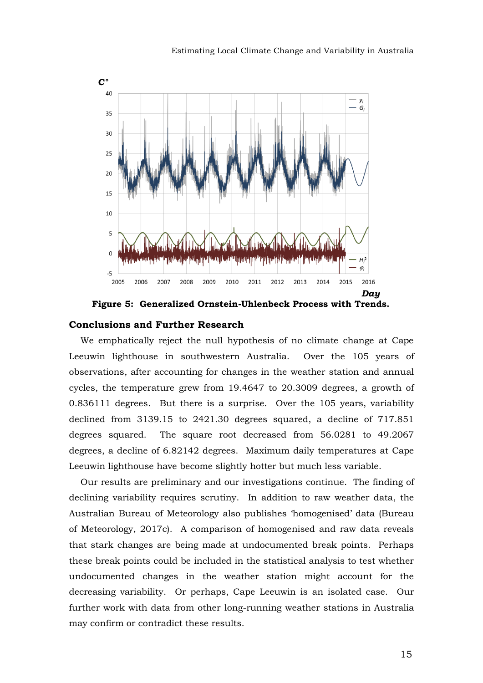

**Figure 5: Generalized Ornstein-Uhlenbeck Process with Trends.**

### **Conclusions and Further Research**

We emphatically reject the null hypothesis of no climate change at Cape Leeuwin lighthouse in southwestern Australia. Over the 105 years of observations, after accounting for changes in the weather station and annual cycles, the temperature grew from 19.4647 to 20.3009 degrees, a growth of 0.836111 degrees. But there is a surprise. Over the 105 years, variability declined from 3139.15 to 2421.30 degrees squared, a decline of 717.851 degrees squared. The square root decreased from 56.0281 to 49.2067 degrees, a decline of 6.82142 degrees. Maximum daily temperatures at Cape Leeuwin lighthouse have become slightly hotter but much less variable.

Our results are preliminary and our investigations continue. The finding of declining variability requires scrutiny. In addition to raw weather data, the Australian Bureau of Meteorology also publishes 'homogenised' data (Bureau of Meteorology, 2017c). A comparison of homogenised and raw data reveals that stark changes are being made at undocumented break points. Perhaps these break points could be included in the statistical analysis to test whether undocumented changes in the weather station might account for the decreasing variability. Or perhaps, Cape Leeuwin is an isolated case. Our further work with data from other long-running weather stations in Australia may confirm or contradict these results.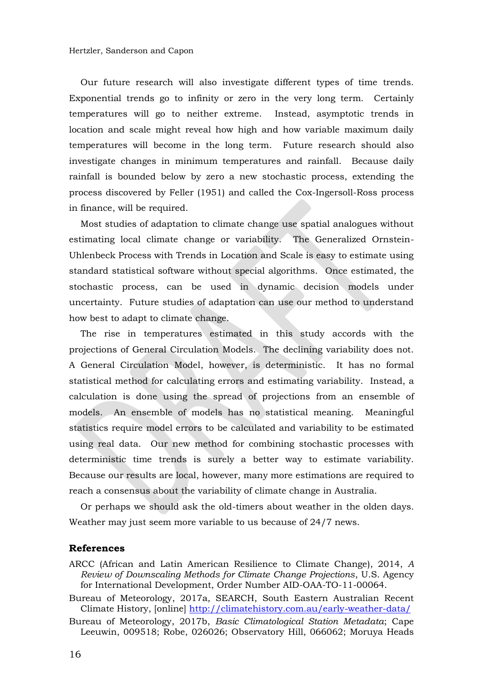Our future research will also investigate different types of time trends. Exponential trends go to infinity or zero in the very long term. Certainly temperatures will go to neither extreme. Instead, asymptotic trends in location and scale might reveal how high and how variable maximum daily temperatures will become in the long term. Future research should also investigate changes in minimum temperatures and rainfall. Because daily rainfall is bounded below by zero a new stochastic process, extending the process discovered by Feller (1951) and called the Cox-Ingersoll-Ross process in finance, will be required.

Most studies of adaptation to climate change use spatial analogues without estimating local climate change or variability. The Generalized Ornstein-Uhlenbeck Process with Trends in Location and Scale is easy to estimate using standard statistical software without special algorithms. Once estimated, the stochastic process, can be used in dynamic decision models under uncertainty. Future studies of adaptation can use our method to understand how best to adapt to climate change.

The rise in temperatures estimated in this study accords with the projections of General Circulation Models. The declining variability does not. A General Circulation Model, however, is deterministic. It has no formal statistical method for calculating errors and estimating variability. Instead, a calculation is done using the spread of projections from an ensemble of models. An ensemble of models has no statistical meaning. Meaningful statistics require model errors to be calculated and variability to be estimated using real data. Our new method for combining stochastic processes with deterministic time trends is surely a better way to estimate variability. Because our results are local, however, many more estimations are required to reach a consensus about the variability of climate change in Australia.

Or perhaps we should ask the old-timers about weather in the olden days. Weather may just seem more variable to us because of 24/7 news.

### **References**

- ARCC (African and Latin American Resilience to Climate Change), 2014, *A Review of Downscaling Methods for Climate Change Projections*, U.S. Agency for International Development, Order Number AID-OAA-TO-11-00064.
- Bureau of Meteorology, 2017a, SEARCH, South Eastern Australian Recent Climate History, [online] <http://climatehistory.com.au/early-weather-data/>
- Bureau of Meteorology, 2017b, *Basic Climatological Station Metadata*; Cape Leeuwin, 009518; Robe, 026026; Observatory Hill, 066062; Moruya Heads